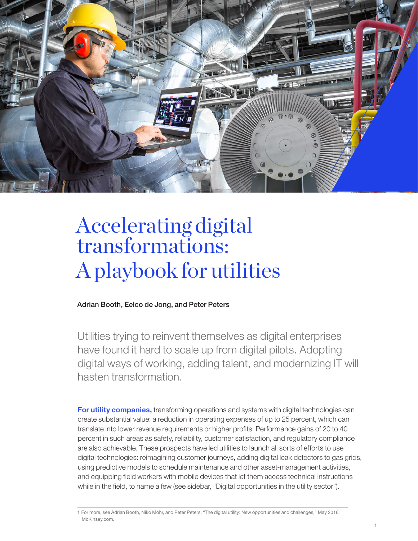

# Accelerating digital transformations: A playbook for utilities

Adrian Booth, Eelco de Jong, and Peter Peters

Utilities trying to reinvent themselves as digital enterprises have found it hard to scale up from digital pilots. Adopting digital ways of working, adding talent, and modernizing IT will hasten transformation.

For utility companies, transforming operations and systems with digital technologies can create substantial value: a reduction in operating expenses of up to 25 percent, which can translate into lower revenue requirements or higher profits. Performance gains of 20 to 40 percent in such areas as safety, reliability, customer satisfaction, and regulatory compliance are also achievable. These prospects have led utilities to launch all sorts of efforts to use digital technologies: reimagining customer journeys, adding digital leak detectors to gas grids, using predictive models to schedule maintenance and other asset-management activities, and equipping field workers with mobile devices that let them access technical instructions while in the field, to name a few (see sidebar, "Digital opportunities in the utility sector").<sup>1</sup>

<sup>1</sup> For more, see Adrian Booth, Niko Mohr, and Peter Peters, "The digital utility: New opportunities and challenges," May 2016, McKinsey.com.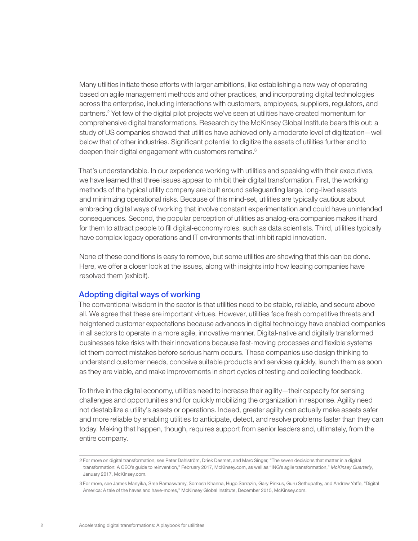Many utilities initiate these efforts with larger ambitions, like establishing a new way of operating based on agile management methods and other practices, and incorporating digital technologies across the enterprise, including interactions with customers, employees, suppliers, regulators, and partners.2 Yet few of the digital pilot projects we've seen at utilities have created momentum for comprehensive digital transformations. Research by the McKinsey Global Institute bears this out: a study of US companies showed that utilities have achieved only a moderate level of digitization—well below that of other industries. Significant potential to digitize the assets of utilities further and to deepen their digital engagement with customers remains.<sup>3</sup>

That's understandable. In our experience working with utilities and speaking with their executives, we have learned that three issues appear to inhibit their digital transformation. First, the working methods of the typical utility company are built around safeguarding large, long-lived assets and minimizing operational risks. Because of this mind-set, utilities are typically cautious about embracing digital ways of working that involve constant experimentation and could have unintended consequences. Second, the popular perception of utilities as analog-era companies makes it hard for them to attract people to fill digital-economy roles, such as data scientists. Third, utilities typically have complex legacy operations and IT environments that inhibit rapid innovation.

None of these conditions is easy to remove, but some utilities are showing that this can be done. Here, we offer a closer look at the issues, along with insights into how leading companies have resolved them (exhibit).

#### Adopting digital ways of working

The conventional wisdom in the sector is that utilities need to be stable, reliable, and secure above all. We agree that these are important virtues. However, utilities face fresh competitive threats and heightened customer expectations because advances in digital technology have enabled companies in all sectors to operate in a more agile, innovative manner. Digital-native and digitally transformed businesses take risks with their innovations because fast-moving processes and flexible systems let them correct mistakes before serious harm occurs. These companies use design thinking to understand customer needs, conceive suitable products and services quickly, launch them as soon as they are viable, and make improvements in short cycles of testing and collecting feedback.

To thrive in the digital economy, utilities need to increase their agility—their capacity for sensing challenges and opportunities and for quickly mobilizing the organization in response. Agility need not destabilize a utility's assets or operations. Indeed, greater agility can actually make assets safer and more reliable by enabling utilities to anticipate, detect, and resolve problems faster than they can today. Making that happen, though, requires support from senior leaders and, ultimately, from the entire company.

<sup>2</sup> For more on digital transformation, see Peter Dahlström, Driek Desmet, and Marc Singer, "The seven decisions that matter in a digital transformation: A CEO's guide to reinvention," February 2017, McKinsey.com, as well as "ING's agile transformation," *McKinsey Quarterly*, January 2017, McKinsey.com.

<sup>3</sup> For more, see James Manyika, Sree Ramaswamy, Somesh Khanna, Hugo Sarrazin, Gary Pinkus, Guru Sethupathy, and Andrew Yaffe, "Digital America: A tale of the haves and have-mores," McKinsey Global Institute, December 2015, McKinsey.com.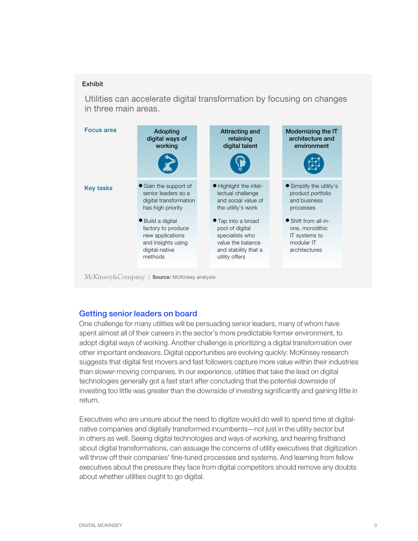## Exhibit

Utilities can accelerate digital transformation by focusing on changes in three main areas.



McKinsey&Company | Source: McKinsey analysis

### Getting senior leaders on board

One challenge for many utilities will be persuading senior leaders, many of whom have spent almost all of their careers in the sector's more predictable former environment, to adopt digital ways of working. Another challenge is prioritizing a digital transformation over other important endeavors. Digital opportunities are evolving quickly: McKinsey research suggests that digital first movers and fast followers capture more value within their industries than slower-moving companies. In our experience, utilities that take the lead on digital technologies generally got a fast start after concluding that the potential downside of investing too little was greater than the downside of investing significantly and gaining little in return.

Executives who are unsure about the need to digitize would do well to spend time at digitalnative companies and digitally transformed incumbents—not just in the utility sector but in others as well. Seeing digital technologies and ways of working, and hearing firsthand about digital transformations, can assuage the concerns of utility executives that digitization will throw off their companies' fine-tuned processes and systems. And learning from fellow executives about the pressure they face from digital competitors should remove any doubts about whether utilities ought to go digital.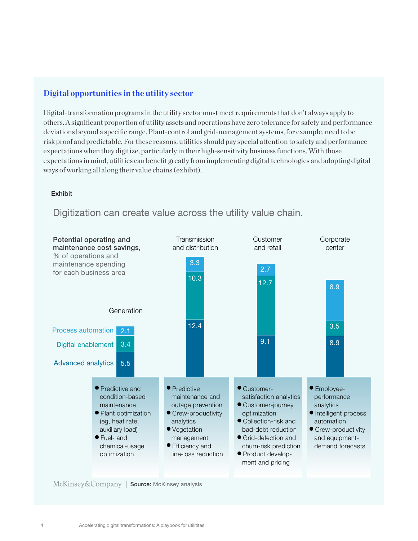# **Digital opportunities in the utility sector**

Digital-transformation programs in the utility sector must meet requirements that don't always apply to others. A significant proportion of utility assets and operations have zero tolerance for safety and performance deviations beyond a specific range. Plant-control and grid-management systems, for example, need to be risk proof and predictable. For these reasons, utilities should pay special attention to safety and performance expectations when they digitize, particularly in their high-sensitivity business functions. With those expectations in mind, utilities can benefit greatly from implementing digital technologies and adopting digital ways of working all along their value chains (exhibit).

#### Exhibit



# Digitization can create value across the utility value chain.

McKinsey&Company | Source: McKinsey analysis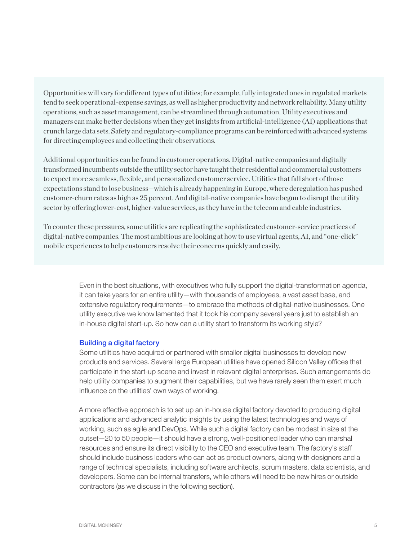Opportunities will vary for different types of utilities; for example, fully integrated ones in regulated markets tend to seek operational-expense savings, as well as higher productivity and network reliability. Many utility operations, such as asset management, can be streamlined through automation. Utility executives and managers can make better decisions when they get insights from artificial-intelligence (AI) applications that crunch large data sets. Safety and regulatory-compliance programs can be reinforced with advanced systems for directing employees and collecting their observations.

Additional opportunities can be found in customer operations. Digital-native companies and digitally transformed incumbents outside the utility sector have taught their residential and commercial customers to expect more seamless, flexible, and personalized customer service. Utilities that fall short of those expectations stand to lose business—which is already happening in Europe, where deregulation has pushed customer-churn rates as high as 25 percent. And digital-native companies have begun to disrupt the utility sector by offering lower-cost, higher-value services, as they have in the telecom and cable industries.

To counter these pressures, some utilities are replicating the sophisticated customer-service practices of digital-native companies. The most ambitious are looking at how to use virtual agents, AI, and "one-click" mobile experiences to help customers resolve their concerns quickly and easily.

> Even in the best situations, with executives who fully support the digital-transformation agenda, it can take years for an entire utility—with thousands of employees, a vast asset base, and extensive regulatory requirements—to embrace the methods of digital-native businesses. One utility executive we know lamented that it took his company several years just to establish an in-house digital start-up. So how can a utility start to transform its working style?

#### Building a digital factory

Some utilities have acquired or partnered with smaller digital businesses to develop new products and services. Several large European utilities have opened Silicon Valley offices that participate in the start-up scene and invest in relevant digital enterprises. Such arrangements do help utility companies to augment their capabilities, but we have rarely seen them exert much influence on the utilities' own ways of working.

A more effective approach is to set up an in-house digital factory devoted to producing digital applications and advanced analytic insights by using the latest technologies and ways of working, such as agile and DevOps. While such a digital factory can be modest in size at the outset—20 to 50 people—it should have a strong, well-positioned leader who can marshal resources and ensure its direct visibility to the CEO and executive team. The factory's staff should include business leaders who can act as product owners, along with designers and a range of technical specialists, including software architects, scrum masters, data scientists, and developers. Some can be internal transfers, while others will need to be new hires or outside contractors (as we discuss in the following section).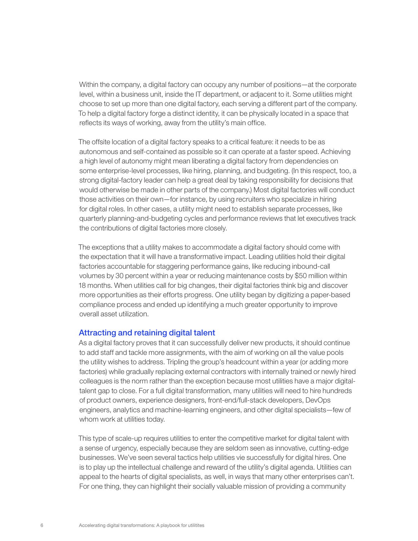Within the company, a digital factory can occupy any number of positions—at the corporate level, within a business unit, inside the IT department, or adjacent to it. Some utilities might choose to set up more than one digital factory, each serving a different part of the company. To help a digital factory forge a distinct identity, it can be physically located in a space that reflects its ways of working, away from the utility's main office.

The offsite location of a digital factory speaks to a critical feature: it needs to be as autonomous and self-contained as possible so it can operate at a faster speed. Achieving a high level of autonomy might mean liberating a digital factory from dependencies on some enterprise-level processes, like hiring, planning, and budgeting. (In this respect, too, a strong digital-factory leader can help a great deal by taking responsibility for decisions that would otherwise be made in other parts of the company.) Most digital factories will conduct those activities on their own—for instance, by using recruiters who specialize in hiring for digital roles. In other cases, a utility might need to establish separate processes, like quarterly planning-and-budgeting cycles and performance reviews that let executives track the contributions of digital factories more closely.

The exceptions that a utility makes to accommodate a digital factory should come with the expectation that it will have a transformative impact. Leading utilities hold their digital factories accountable for staggering performance gains, like reducing inbound-call volumes by 30 percent within a year or reducing maintenance costs by \$50 million within 18 months. When utilities call for big changes, their digital factories think big and discover more opportunities as their efforts progress. One utility began by digitizing a paper-based compliance process and ended up identifying a much greater opportunity to improve overall asset utilization.

#### Attracting and retaining digital talent

As a digital factory proves that it can successfully deliver new products, it should continue to add staff and tackle more assignments, with the aim of working on all the value pools the utility wishes to address. Tripling the group's headcount within a year (or adding more factories) while gradually replacing external contractors with internally trained or newly hired colleagues is the norm rather than the exception because most utilities have a major digitaltalent gap to close. For a full digital transformation, many utilities will need to hire hundreds of product owners, experience designers, front-end/full-stack developers, DevOps engineers, analytics and machine-learning engineers, and other digital specialists—few of whom work at utilities today.

This type of scale-up requires utilities to enter the competitive market for digital talent with a sense of urgency, especially because they are seldom seen as innovative, cutting-edge businesses. We've seen several tactics help utilities vie successfully for digital hires. One is to play up the intellectual challenge and reward of the utility's digital agenda. Utilities can appeal to the hearts of digital specialists, as well, in ways that many other enterprises can't. For one thing, they can highlight their socially valuable mission of providing a community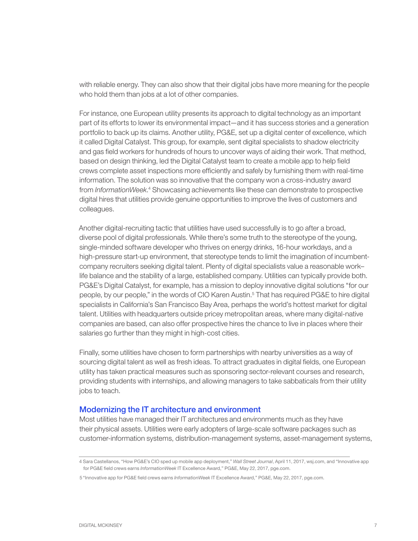with reliable energy. They can also show that their digital jobs have more meaning for the people who hold them than jobs at a lot of other companies.

For instance, one European utility presents its approach to digital technology as an important part of its efforts to lower its environmental impact—and it has success stories and a generation portfolio to back up its claims. Another utility, PG&E, set up a digital center of excellence, which it called Digital Catalyst. This group, for example, sent digital specialists to shadow electricity and gas field workers for hundreds of hours to uncover ways of aiding their work. That method, based on design thinking, led the Digital Catalyst team to create a mobile app to help field crews complete asset inspections more efficiently and safely by furnishing them with real-time information. The solution was so innovative that the company won a cross-industry award from *InformationWeek*.<sup>4</sup> Showcasing achievements like these can demonstrate to prospective digital hires that utilities provide genuine opportunities to improve the lives of customers and colleagues.

Another digital-recruiting tactic that utilities have used successfully is to go after a broad, diverse pool of digital professionals. While there's some truth to the stereotype of the young, single-minded software developer who thrives on energy drinks, 16-hour workdays, and a high-pressure start-up environment, that stereotype tends to limit the imagination of incumbentcompany recruiters seeking digital talent. Plenty of digital specialists value a reasonable work– life balance and the stability of a large, established company. Utilities can typically provide both. PG&E's Digital Catalyst, for example, has a mission to deploy innovative digital solutions "for our people, by our people," in the words of CIO Karen Austin.5 That has required PG&E to hire digital specialists in California's San Francisco Bay Area, perhaps the world's hottest market for digital talent. Utilities with headquarters outside pricey metropolitan areas, where many digital-native companies are based, can also offer prospective hires the chance to live in places where their salaries go further than they might in high-cost cities.

Finally, some utilities have chosen to form partnerships with nearby universities as a way of sourcing digital talent as well as fresh ideas. To attract graduates in digital fields, one European utility has taken practical measures such as sponsoring sector-relevant courses and research, providing students with internships, and allowing managers to take sabbaticals from their utility jobs to teach.

#### Modernizing the IT architecture and environment

Most utilities have managed their IT architectures and environments much as they have their physical assets. Utilities were early adopters of large-scale software packages such as customer-information systems, distribution-management systems, asset-management systems,

<sup>4</sup> Sara Castellanos, "How PG&E's CIO sped up mobile app deployment," *Wall Street Journal*, April 11, 2017, wsj.com, and "Innovative app for PG&E field crews earns *InformationWeek* IT Excellence Award," PG&E, May 22, 2017, pge.com.

<sup>5</sup> "Innovative app for PG&E field crews earns *InformationWeek* IT Excellence Award," PG&E, May 22, 2017, pge.com.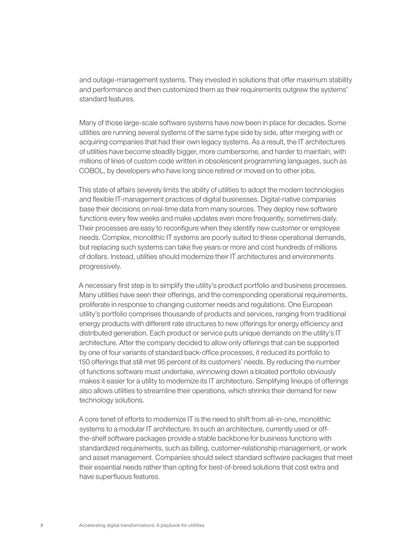and outage-management systems. They invested in solutions that offer maximum stability and performance and then customized them as their requirements outgrew the systems' standard features.

Many of those large-scale software systems have now been in place for decades. Some utilities are running several systems of the same type side by side, after merging with or acquiring companies that had their own legacy systems. As a result, the IT architectures of utilities have become steadily bigger, more cumbersome, and harder to maintain, with millions of lines of custom code written in obsolescent programming languages, such as COBOL, by developers who have long since retired or moved on to other jobs.

This state of affairs severely limits the ability of utilities to adopt the modern technologies and flexible IT-management practices of digital businesses. Digital-native companies base their decisions on real-time data from many sources. They deploy new software functions every few weeks and make updates even more frequently, sometimes daily. Their processes are easy to reconfigure when they identify new customer or employee needs. Complex, monolithic IT systems are poorly suited to these operational demands, but replacing such systems can take five years or more and cost hundreds of millions of dollars. Instead, utilities should modernize their IT architectures and environments progressively.

A necessary first step is to simplify the utility's product portfolio and business processes. Many utilities have seen their offerings, and the corresponding operational requirements, proliferate in response to changing customer needs and regulations. One European utility's portfolio comprises thousands of products and services, ranging from traditional energy products with different rate structures to new offerings for energy efficiency and distributed generation. Each product or service puts unique demands on the utility's IT architecture. After the company decided to allow only offerings that can be supported by one of four variants of standard back-office processes, it reduced its portfolio to 150 offerings that still met 95 percent of its customers' needs. By reducing the number of functions software must undertake, winnowing down a bloated portfolio obviously makes it easier for a utility to modernize its IT architecture. Simplifying lineups of offerings also allows utilities to streamline their operations, which shrinks their demand for new technology solutions.

A core tenet of efforts to modernize IT is the need to shift from all-in-one, monolithic systems to a modular IT architecture. In such an architecture, currently used or offthe-shelf software packages provide a stable backbone for business functions with standardized requirements, such as billing, customer-relationship management, or work and asset management. Companies should select standard software packages that meet their essential needs rather than opting for best-of-breed solutions that cost extra and have superfluous features.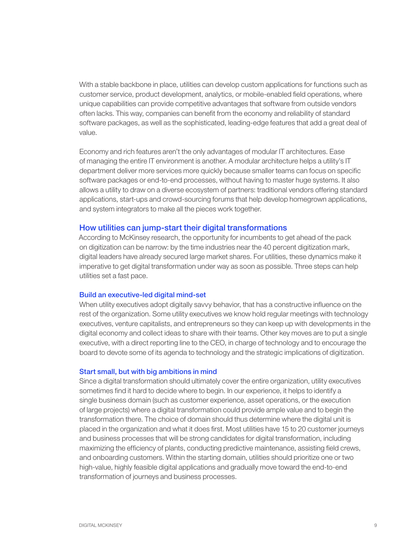With a stable backbone in place, utilities can develop custom applications for functions such as customer service, product development, analytics, or mobile-enabled field operations, where unique capabilities can provide competitive advantages that software from outside vendors often lacks. This way, companies can benefit from the economy and reliability of standard software packages, as well as the sophisticated, leading-edge features that add a great deal of value.

Economy and rich features aren't the only advantages of modular IT architectures. Ease of managing the entire IT environment is another. A modular architecture helps a utility's IT department deliver more services more quickly because smaller teams can focus on specific software packages or end-to-end processes, without having to master huge systems. It also allows a utility to draw on a diverse ecosystem of partners: traditional vendors offering standard applications, start-ups and crowd-sourcing forums that help develop homegrown applications, and system integrators to make all the pieces work together.

#### How utilities can jump-start their digital transformations

According to McKinsey research, the opportunity for incumbents to get ahead of the pack on digitization can be narrow: by the time industries near the 40 percent digitization mark, digital leaders have already secured large market shares. For utilities, these dynamics make it imperative to get digital transformation under way as soon as possible. Three steps can help utilities set a fast pace.

#### Build an executive-led digital mind-set

When utility executives adopt digitally savvy behavior, that has a constructive influence on the rest of the organization. Some utility executives we know hold regular meetings with technology executives, venture capitalists, and entrepreneurs so they can keep up with developments in the digital economy and collect ideas to share with their teams. Other key moves are to put a single executive, with a direct reporting line to the CEO, in charge of technology and to encourage the board to devote some of its agenda to technology and the strategic implications of digitization.

#### Start small, but with big ambitions in mind

Since a digital transformation should ultimately cover the entire organization, utility executives sometimes find it hard to decide where to begin. In our experience, it helps to identify a single business domain (such as customer experience, asset operations, or the execution of large projects) where a digital transformation could provide ample value and to begin the transformation there. The choice of domain should thus determine where the digital unit is placed in the organization and what it does first. Most utilities have 15 to 20 customer journeys and business processes that will be strong candidates for digital transformation, including maximizing the efficiency of plants, conducting predictive maintenance, assisting field crews, and onboarding customers. Within the starting domain, utilities should prioritize one or two high-value, highly feasible digital applications and gradually move toward the end-to-end transformation of journeys and business processes.